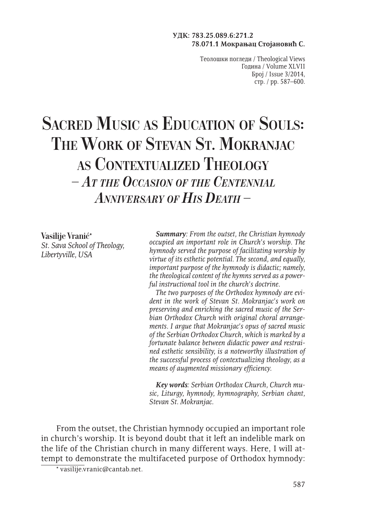#### **УДК: 783.25.089.6:271.2 78.071.1 Мокрањац Стојановић С.**

Теолошки погледи / Theological Views Година / Volume XLVII Број / Issue 3/2014, стр. / pp. 587–600.

# **Sacred Music as Education of Souls: The Work of Stevan St. Mokranjac as Contextualized Theology** *– At the Occasion of the Centennial Anniversary of His Death –*

**Vasilije Vranić**\* *St. Sava School of Theology, Libertyville, USA*

*Summary: From the outset, the Christian hymnody occupied an important role in Church's worship. The hymnody served the purpose of facilitating worship by virtue of its esthetic potential. The second, and equally, important purpose of the hymnody is didactic; namely, the theological content of the hymns served as a powerful instructional tool in the church's doctrine.*

*The two purposes of the Orthodox hymnody are evident in the work of Stevan St. Mokranjac's work on preserving and enriching the sacred music of the Serbian Orthodox Church with original choral arrangements. I argue that Mokranjac's opus of sacred music of the Serbian Orthodox Church, which is marked by a fortunate balance between didactic power and restrained esthetic sensibility, is a noteworthy illustration of the successful process of contextualizing theology, as a means of augmented missionary efficiency.*

*Key words: Serbian Orthodox Church, Church music, Liturgy, hymnody, hymnography, Serbian chant, Stevan St. Mokranjac.*

From the outset, the Christian hymnody occupied an important role in church's worship. It is beyond doubt that it left an indelible mark on the life of the Christian church in many different ways. Here, I will attempt to demonstrate the multifaceted purpose of Orthodox hymnody:

<sup>\*</sup> vasilije.vranic@cantab.net.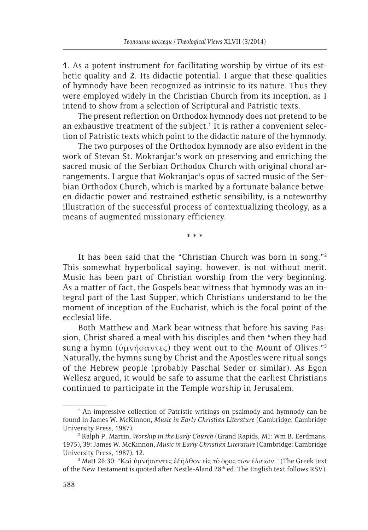**1**. As a potent instrument for facilitating worship by virtue of its esthetic quality and **2**. Its didactic potential. I argue that these qualities of hymnody have been recognized as intrinsic to its nature. Thus they were employed widely in the Christian Church from its inception, as I intend to show from a selection of Scriptural and Patristic texts.

The present reflection on Orthodox hymnody does not pretend to be an exhaustive treatment of the subject.<sup>1</sup> It is rather a convenient selection of Patristic texts which point to the didactic nature of the hymnody.

The two purposes of the Orthodox hymnody are also evident in the work of Stevan St. Mokranjac's work on preserving and enriching the sacred music of the Serbian Orthodox Church with original choral arrangements. I argue that Mokranjac's opus of sacred music of the Serbian Orthodox Church, which is marked by a fortunate balance between didactic power and restrained esthetic sensibility, is a noteworthy illustration of the successful process of contextualizing theology, as a means of augmented missionary efficiency.

**\* \* \***

It has been said that the "Christian Church was born in song."2 This somewhat hyperbolical saying, however, is not without merit. Music has been part of Christian worship from the very beginning. As a matter of fact, the Gospels bear witness that hymnody was an integral part of the Last Supper, which Christians understand to be the moment of inception of the Eucharist, which is the focal point of the ecclesial life.

Both Matthew and Mark bear witness that before his saving Passion, Christ shared a meal with his disciples and then "when they had sung a hymn (ὑμνήσαντες) they went out to the Mount of Olives."3 Naturally, the hymns sung by Christ and the Apostles were ritual songs of the Hebrew people (probably Paschal Seder or similar). As Egon Wellesz argued, it would be safe to assume that the earliest Christians continued to participate in the Temple worship in Jerusalem.

<sup>1</sup> An impressive collection of Patristic writings on psalmody and hymnody can be found in James W. McKinnon, *Music in Early Christian Literature* (Cambridge: Cambridge University Press, 1987).

<sup>2</sup> Ralph P. Martin, *Worship in the Early Church* (Grand Rapids, MI: Wm B. Eerdmans, 1975), 39; James W. McKinnon, *Music in Early Christian Literature* (Cambridge: Cambridge University Press, 1987). 12.

 $^3$  Matt 26:30: "Καὶ ὑμνήσαντες ἐξῆλθον εἰς τὸ ὄρος τῶν ἐλαιῶν." (The Greek text of the New Testament is quoted after Nestle-Aland 28th ed. The English text follows RSV).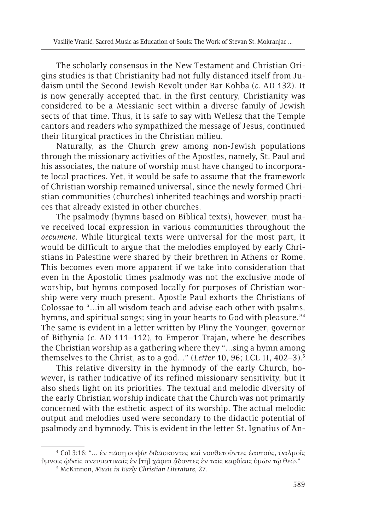The scholarly consensus in the New Testament and Christian Origins studies is that Christianity had not fully distanced itself from Judaism until the Second Jewish Revolt under Bar Kohba (*c*. AD 132). It is now generally accepted that, in the first century, Christianity was considered to be a Messianic sect within a diverse family of Jewish sects of that time. Thus, it is safe to say with Wellesz that the Temple cantors and readers who sympathized the message of Jesus, continued their liturgical practices in the Christian milieu.

Naturally, as the Church grew among non-Jewish populations through the missionary activities of the Apostles, namely, St. Paul and his associates, the nature of worship must have changed to incorporate local practices. Yet, it would be safe to assume that the framework of Christian worship remained universal, since the newly formed Christian communities (churches) inherited teachings and worship practices that already existed in other churches.

The psalmody (hymns based on Biblical texts), however, must have received local expression in various communities throughout the *oecumene*. While liturgical texts were universal for the most part, it would be difficult to argue that the melodies employed by early Christians in Palestine were shared by their brethren in Athens or Rome. This becomes even more apparent if we take into consideration that even in the Apostolic times psalmody was not the exclusive mode of worship, but hymns composed locally for purposes of Christian worship were very much present. Apostle Paul exhorts the Christians of Colossae to "…in all wisdom teach and advise each other with psalms, hymns, and spiritual songs; sing in your hearts to God with pleasure."<sup>4</sup> The same is evident in a letter written by Pliny the Younger, governor of Bithynia (*c*. AD 111–112), to Emperor Trajan, where he describes the Christian worship as a gathering where they "…sing a hymn among themselves to the Christ, as to a god…" (*Letter* 10, 96; LCL II, 402–3).5

This relative diversity in the hymnody of the early Church, however, is rather indicative of its refined missionary sensitivity, but it also sheds light on its priorities. The textual and melodic diversity of the early Christian worship indicate that the Church was not primarily concerned with the esthetic aspect of its worship. The actual melodic output and melodies used were secondary to the didactic potential of psalmody and hymnody. This is evident in the letter St. Ignatius of An-

<sup>4</sup> Col 3:16: "… ἐν πάσῃ σοφίᾳ διδάσκοντες καὶ νουθετοῦντες ἑαυτούς, ψαλμοῖς ὕμνοις ᾠδαῖς πνευματικαῖς ἐν [τῇ] χάριτι ᾄδοντες ἐν ταῖς καρδίαις ὑμῶν τῷ θεῷ."

<sup>5</sup> McKinnon, *Music in Early Christian Literature*, 27.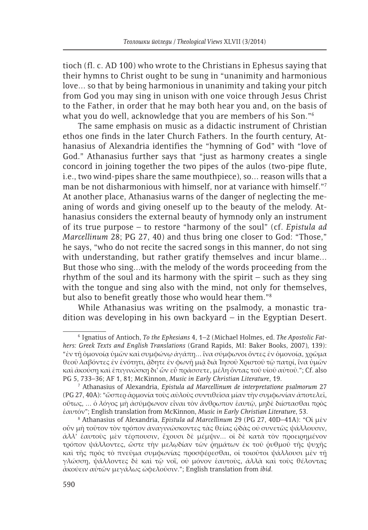tioch (fl. c. AD 100) who wrote to the Christians in Ephesus saying that their hymns to Christ ought to be sung in "unanimity and harmonious love… so that by being harmonious in unanimity and taking your pitch from God you may sing in unison with one voice through Jesus Christ to the Father, in order that he may both hear you and, on the basis of what you do well, acknowledge that you are members of his Son."6

The same emphasis on music as a didactic instrument of Christian ethos one finds in the later Church Fathers. In the fourth century, Athanasius of Alexandria identifies the "hymning of God" with "love of God." Athanasius further says that "just as harmony creates a single concord in joining together the two pipes of the aulos (two-pipe flute, i.e., two wind-pipes share the same mouthpiece), so… reason wills that a man be not disharmonious with himself, nor at variance with himself."<sup>7</sup> At another place, Athanasius warns of the danger of neglecting the meaning of words and giving oneself up to the beauty of the melody. Athanasius considers the external beauty of hymnody only an instrument of its true purpose – to restore "harmony of the soul" (cf. *Epistula ad Marcellinum* 28; PG 27, 40) and thus bring one closer to God: "Those," he says, "who do not recite the sacred songs in this manner, do not sing with understanding, but rather gratify themselves and incur blame… But those who sing…with the melody of the words proceeding from the rhythm of the soul and its harmony with the spirit – such as they sing with the tongue and sing also with the mind, not only for themselves, but also to benefit greatly those who would hear them."8

While Athanasius was writing on the psalmody, a monastic tradition was developing in his own backyard – in the Egyptian Desert.

<sup>6</sup> Ignatius of Antioch, *To the Ephesians* 4, 1–2 (Michael Holmes, ed. *The Apostolic Fathers: Greek Texts and English Translations* (Grand Rapids, MI: Baker Books, 2007), 139): "ἐν τῇ ὁμονοίᾳ ὑμῶν καὶ συμφώνῳ ἀγάπῃ… ἵνα σύμφωνοι ὄντες ἐν ὁμονοίᾳ, χρῶμα θεοῦ λαβόντες ἐν ἑνότητι, ἄδητε ἐν φωνῆ μιῷ διὰ Ἰησοῦ Χριστοῦ τῷ πατρί, ἵνα ὑμῶν καὶ ἀκούσῃ καὶ ἐπιγινώσκῃ δι' ὧν εὖ πράσσετε, μέλη ὄντας τοῦ υἱοῦ αὐτοῦ."; Cf. also PG 5, 733–36; AF 1, 81; McKinnon, *Music in Early Christian Literature*, 19.

<sup>7</sup> Athanasius of Alexandria, *Epistula ad Marcellinum de interpretatione psalmorum* 27 (PG 27, 40A): "ὥσπερ ἁρμονία τοὺς αὐλοὺς συντιθεῖσα μίαν τὴν συμφωνίαν ἀποτελεῖ, οὕτως, … ὁ λόγος μὴ ἀσύμφωνον εἶναι τὸν ἄνθρωπον ἑαυτῷ, μηδὲ διίστασθαι πρὸς ἑαυτόν"; English translation from McKinnon, *Music in Early Christian Literature*, 53.

<sup>8</sup> Athanasius of Alexandria, *Epistula ad Marcellinum* 29 (PG 27, 40D–41A): "Οἱ μὲν οὖν μὴ τοῦτον τὸν τρόπον ἀναγινώσκοντες τὰς θείας ᾠδὰς οὐ συνετῶς ψάλλουσιν, ἀλλ' ἑαυτοὺς μὲν τέρπουσιν, ἔχουσι δὲ μέμψιν… οἱ δὲ κατὰ τὸν προειρημένον τρόπον ψάλλοντες, ὥστε τὴν μελῳδίαν τῶν ῥημάτων ἐκ τοῦ ῥυθμοῦ τῆς ψυχῆς καὶ τῆς πρὸς τὸ πνεῦμα συμφωνίας προσφέρεσθαι, οἱ τοιοῦτοι ψάλλουσι μὲν τῇ γλώσσῃ, ψάλλοντες δὲ καὶ τῷ νοῒ, οὐ μόνον ἑαυτοὺς, ἀλλὰ καὶ τοὺς θέλοντας ἀκούειν αὐτῶν μεγάλως ὠφελοῦσιν."; English translation from *ibid*.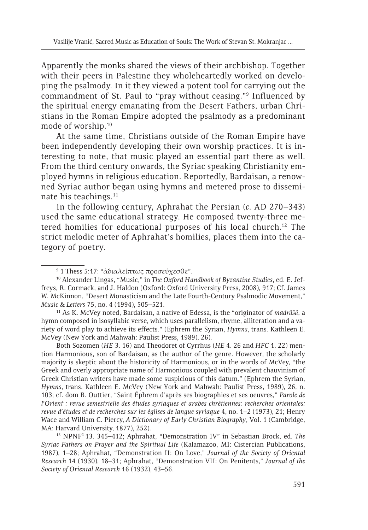Apparently the monks shared the views of their archbishop. Together with their peers in Palestine they wholeheartedly worked on developing the psalmody. In it they viewed a potent tool for carrying out the commandment of St. Paul to "pray without ceasing."9 Influenced by the spiritual energy emanating from the Desert Fathers, urban Christians in the Roman Empire adopted the psalmody as a predominant mode of worship.10

At the same time, Christians outside of the Roman Empire have been independently developing their own worship practices. It is interesting to note, that music played an essential part there as well. From the third century onwards, the Syriac speaking Christianity employed hymns in religious education. Reportedly, Bardaisan, a renowned Syriac author began using hymns and metered prose to disseminate his teachings.11

In the following century, Aphrahat the Persian (*c*. AD 270–343) used the same educational strategy. He composed twenty-three metered homilies for educational purposes of his local church.12 The strict melodic meter of Aphrahat's homilies, places them into the category of poetry.

11 As K. McVey noted, Bardaisan, a native of Edessa, is the "originator of *madrāšâ*, a hymn composed in isosyllabic verse, which uses parallelism, rhyme, alliteration and a variety of word play to achieve its effects." (Ephrem the Syrian, *Hymns*, trans. Kathleen E. McVey (New York and Mahwah: Paulist Press, 1989), 26).

Both Sozomen (*HE* 3. 16) and Theodoret of Cyrrhus (*HE* 4. 26 and *HFC* 1. 22) mention Harmonious, son of Bardaisan, as the author of the genre. However, the scholarly majority is skeptic about the historicity of Harmonious, or in the words of McVey, "the Greek and overly appropriate name of Harmonious coupled with prevalent chauvinism of Greek Christian writers have made some suspicious of this datum." (Ephrem the Syrian, *Hymns*, trans. Kathleen E. McVey (New York and Mahwah: Paulist Press, 1989), 26, n. 103; cf. dom B. Outtier, "Saint Éphrem d'après ses biographies et ses oeuvres," *Parole de l'Orient : revue semestrielle des études syriaques et arabes chrétiennes: recherches orientales: revue d'études et de recherches sur les églises de langue syriaque* 4, no. 1–2 (1973), 21; Henry Wace and William C. Piercy, *A Dictionary of Early Christian Biography*, Vol. 1 (Cambridge, MA: Harvard University, 1877), 252).

12 NPNF2 13. 345–412; Aphrahat, "Demonstration IV" in Sebastian Brock, ed. *The Syriac Fathers on Prayer and the Spiritual Life* (Kalamazoo, MI: Cistercian Publications, 1987), 1–28; Aphrahat, "Demonstration II: On Love," *Journal of the Society of Oriental Research* 14 (1930), 18–31; Aphrahat, "Demonstration VII: On Penitents," *Journal of the Society of Oriental Research* 16 (1932), 43–56.

<sup>9</sup> 1 Thess 5:17: "ἀδιαλείπτως προσεύχεσθε".

<sup>10</sup> Alexander Lingas, "Music," in *The Oxford Handbook of Byzantine Studies*, ed. E. Jeffreys, R. Cormack, and J. Haldon (Oxford: Oxford University Press, 2008), 917; Cf. James W. McKinnon, "Desert Monasticism and the Late Fourth-Century Psalmodic Movement," *Music & Letters* 75, no. 4 (1994), 505–521.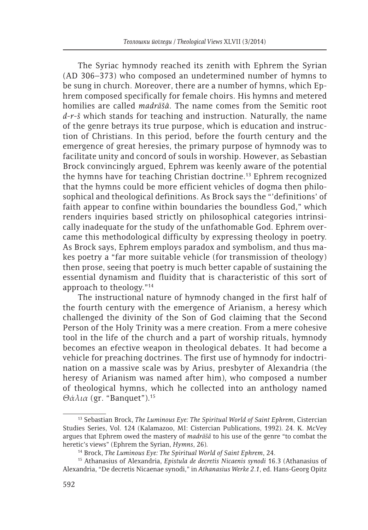The Syriac hymnody reached its zenith with Ephrem the Syrian (AD 306–373) who composed an undetermined number of hymns to be sung in church. Moreover, there are a number of hymns, which Ephrem composed specifically for female choirs. His hymns and metered homilies are called *madrāšâ*. The name comes from the Semitic root *d-r-š* which stands for teaching and instruction. Naturally, the name of the genre betrays its true purpose, which is education and instruction of Christians. In this period, before the fourth century and the emergence of great heresies, the primary purpose of hymnody was to facilitate unity and concord of souls in worship. However, as Sebastian Brock convincingly argued, Ephrem was keenly aware of the potential the hymns have for teaching Christian doctrine.13 Ephrem recognized that the hymns could be more efficient vehicles of dogma then philosophical and theological definitions. As Brock says the "'definitions' of faith appear to confine within boundaries the boundless God," which renders inquiries based strictly on philosophical categories intrinsically inadequate for the study of the unfathomable God. Ephrem overcame this methodological difficulty by expressing theology in poetry. As Brock says, Ephrem employs paradox and symbolism, and thus makes poetry a "far more suitable vehicle (for transmission of theology) then prose, seeing that poetry is much better capable of sustaining the essential dynamism and fluidity that is characteristic of this sort of approach to theology."14

The instructional nature of hymnody changed in the first half of the fourth century with the emergence of Arianism, a heresy which challenged the divinity of the Son of God claiming that the Second Person of the Holy Trinity was a mere creation. From a mere cohesive tool in the life of the church and a part of worship rituals, hymnody becomes an efective weapon in theological debates. It had become a vehicle for preaching doctrines. The first use of hymnody for indoctrination on a massive scale was by Arius, presbyter of Alexandria (the heresy of Arianism was named after him), who composed a number of theological hymns, which he collected into an anthology named *Θάλια* (gr. "Banquet").15

<sup>13</sup> Sebastian Brock, *The Luminous Eye: The Spiritual World of Saint Ephrem*, Cistercian Studies Series, Vol. 124 (Kalamazoo, MI: Cistercian Publications, 1992). 24. K. McVey argues that Ephrem owed the mastery of *madrāšâ* to his use of the genre "to combat the heretic's views" (Ephrem the Syrian, *Hymns*, 26).

<sup>14</sup> Brock, *The Luminous Eye: The Spiritual World of Saint Ephrem*, 24.

<sup>15</sup> Athanasius of Alexandria, *Epistula de decretis Nicaenis synodi* 16.3 (Athanasius of Alexandria, "De decretis Nicaenae synodi," in *Athanasius Werke 2.1*, ed. Hans-Georg Opitz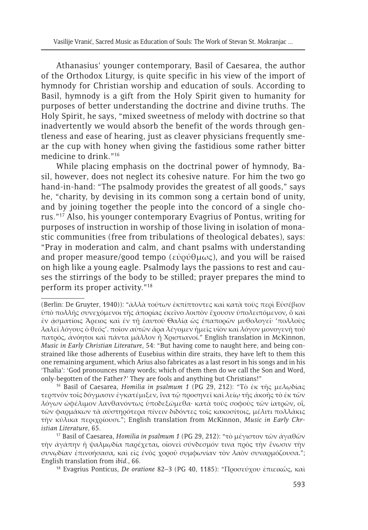Athanasius' younger contemporary, Basil of Caesarea, the author of the Orthodox Liturgy, is quite specific in his view of the import of hymnody for Christian worship and education of souls. According to Basil, hymnody is a gift from the Holy Spirit given to humanity for purposes of better understanding the doctrine and divine truths. The Holy Spirit, he says, "mixed sweetness of melody with doctrine so that inadvertently we would absorb the benefit of the words through gentleness and ease of hearing, just as cleaver physicians frequently smear the cup with honey when giving the fastidious some rather bitter medicine to drink."16

While placing emphasis on the doctrinal power of hymnody, Basil, however, does not neglect its cohesive nature. For him the two go hand-in-hand: "The psalmody provides the greatest of all goods," says he, "charity, by devising in its common song a certain bond of unity, and by joining together the people into the concord of a single chorus."17 Also, his younger contemporary Evagrius of Pontus, writing for purposes of instruction in worship of those living in isolation of monastic communities (free from tribulations of theological debates), says: "Pray in moderation and calm, and chant psalms with understanding and proper measure/good tempo (εὐρύθμως), and you will be raised on high like a young eagle. Psalmody lays the passions to rest and causes the stirrings of the body to be stilled; prayer prepares the mind to perform its proper activity."18

16 Basil of Caesarea, *Homilia in psalmum 1* (PG 29, 212): "Τὸ ἐκ τῆς μελῳδίας τερπνὸν τοῖς δόγμασιν ἐγκατέμιξεν, ἵνα τῷ προσηνεῖ καὶ λείῳ τῆς ἀκοῆς τὸ ἐκ τῶν λόγων ὠφέλιμον λανθανόντως ὑποδεξώμεθα· κατὰ τοὺς σοφοὺς τῶν ἰατρῶν, οἳ, τῶν φαρμάκων τὰ αὐστηρότερα πίνειν διδόντες τοῖς κακοσίτοις, μέλιτι πολλάκις τὴν κύλικα περιχρίουσι."; English translation from McKinnon, *Music in Early Christian Literature*, 65.

17 Basil of Caesarea, *Homilia in psalmum 1* (PG 29, 212): "τὸ μέγιστον τῶν ἀγαθῶν τὴν ἀγάπην ἡ ψαλμῳδία παρέχεται, οἱονεὶ σύνδεσμόν τινα πρὸς τὴν ἕνωσιν τὴν συνῳδίαν ἐπινοήσασα, καὶ εἰς ἑνὸς χοροῦ συμφωνίαν τὸν λαὸν συναρμόζουσα."; English translation from *ibid*., 66.

18 Evagrius Ponticus, *De oratione* 82–3 (PG 40, 1185): "Προσεύχου ἐπιεικῶς, καὶ

<sup>(</sup>Berlin: De Gruyter, 1940)): "ἀλλὰ τούτων ἐκπίπτοντες καὶ κατὰ τοὺς περὶ Εὐσέβιον ὑπὸ πολλῆς συνεχόμενοι τῆς ἀπορίας ἐκεῖνο λοιπὸν ἔχουσιν ὑπολειπόμενον, ὃ καὶ ἐν ᾀσματίοις Ἄρειος καὶ ἐν τῇ ἑαυτοῦ Θαλίᾳ ὡς ἐπαπορῶν μυθολογεῖ· 'πολλοὺς λαλεῖ λόγους ὁ θεός'. ποῖον αὐτῶν ἄρα λέγομεν ἡμεῖς υἱὸν καὶ λόγον μονογενῆ τοῦ πατρός, ἀνόητοι καὶ πάντα μᾶλλον ἢ Χριστιανοί." English translation in McKinnon, *Music in Early Christian Literature*, 54: "But having come to naught here, and being constrained like those adherents of Eusebius within dire straits, they have left to them this one remaining argument, which Arius also fabricates as a last resort in his songs and in his 'Thalia': 'God pronounces many words; which of them then do we call the Son and Word, only-begotten of the Father?' They are fools and anything but Christians!"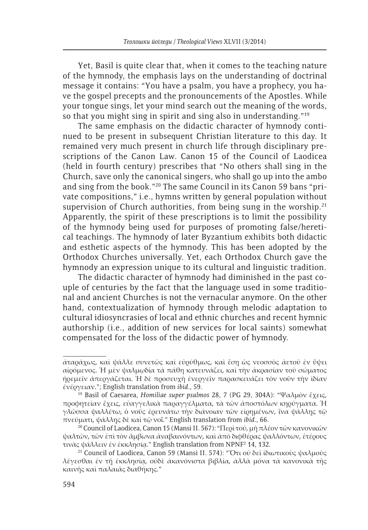Yet, Basil is quite clear that, when it comes to the teaching nature of the hymnody, the emphasis lays on the understanding of doctrinal message it contains: "You have a psalm, you have a prophecy, you have the gospel precepts and the pronouncements of the Apostles. While your tongue sings, let your mind search out the meaning of the words, so that you might sing in spirit and sing also in understanding."<sup>19</sup>

The same emphasis on the didactic character of hymnody continued to be present in subsequent Christian literature to this day. It remained very much present in church life through disciplinary prescriptions of the Canon Law. Canon 15 of the Council of Laodicea (held in fourth century) prescribes that "No others shall sing in the Church, save only the canonical singers, who shall go up into the ambo and sing from the book."20 The same Council in its Canon 59 bans "private compositions," i.e., hymns written by general population without supervision of Church authorities, from being sung in the worship.<sup>21</sup> Apparently, the spirit of these prescriptions is to limit the possibility of the hymnody being used for purposes of promoting false/heretical teachings. The hymnody of later Byzantium exhibits both didactic and esthetic aspects of the hymnody. This has been adopted by the Orthodox Churches universally. Yet, each Orthodox Church gave the hymnody an expression unique to its cultural and linguistic tradition.

The didactic character of hymnody had diminished in the past couple of centuries by the fact that the language used in some traditional and ancient Churches is not the vernacular anymore. On the other hand, contextualization of hymnody through melodic adaptation to cultural idiosyncrasies of local and ethnic churches and recent hymnic authorship (i.e., addition of new services for local saints) somewhat compensated for the loss of the didactic power of hymnody.

ἀταράχως, καὶ ψάλλε συνετῶς καὶ εὐρύθμως, καὶ ἔσῃ ὡς νεοσσὸς ἀετοῦ ἐν ὕψει αἰρόμενος. Ἡ μὲν ψαλμῳδία τὰ πάθη κατευνάζει, καὶ τὴν ἀκρασίαν τοῦ σώματος ἠρεμεῖν ἀπεργάζεται. Ἡ δὲ προσευχὴ ἐνεργεῖν παρασκευάζει τὸν νοῦν τὴν ἰδίαν ἐνέργειαν."; English translation from *ibid*., 59.

<sup>19</sup> Basil of Caesarea, *Homiliae super psalmos* 28, 7 (PG 29, 304A): "Ψαλμὸν ἔχεις, προφητείαν ἔχεις, εὐαγγελικὰ παραγγέλματα, τὰ τῶν ἀποστόλων κηρύγματα. Ἡ γλῶσσα ψαλλέτω, ὁ νοῦς ἐρευνάτω τὴν διάνοιαν τῶν εἰρημένων, ἵνα ψάλλῃς τῷ πνεύματι, ψάλλῃς δὲ καὶ τῷ νοΐ." English translation from *ibid*., 66.

<sup>&</sup>lt;sup>20</sup> Council of Laodicea, Canon 15 (Mansi II. 567): "Περὶ τοῦ, μὴ πλέον τῶν κανονικῶν ψαλτῶν, τῶν ἐπὶ τὸν ἄμβωνα ἀναβαινόντων, καὶ ἀπὸ διφθέρας ψαλλόντων, ἑτέρους τινὰς ψάλλειν ἐν ἐκκλησίᾳ." English translation from NPNF2 14, 132.

<sup>&</sup>lt;sup>21</sup> Council of Laodicea, Canon 59 (Mansi II. 574): "Ότι οὐ δεῖ ἰδιωτικοὺς ψαλμοὺς λέγεσθαι ἐν τῇ ἐκκλησίᾳ, ούδὲ ἀκανόνιστα βιβλία, ἀλλὰ μόνα τὰ κανονικὰ τῆς καινῆς καὶ παλαιᾶς διαθήκης."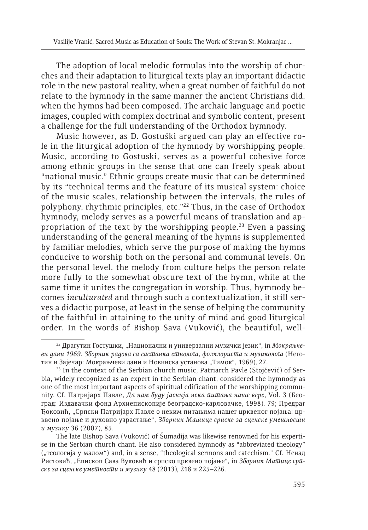The adoption of local melodic formulas into the worship of churches and their adaptation to liturgical texts play an important didactic role in the new pastoral reality, when a great number of faithful do not relate to the hymnody in the same manner the ancient Christians did, when the hymns had been composed. The archaic language and poetic images, coupled with complex doctrinal and symbolic content, present a challenge for the full understanding of the Orthodox hymnody.

Music however, as D. Gostuški argued can play an effective role in the liturgical adoption of the hymnody by worshipping people. Music, according to Gostuski, serves as a powerful cohesive force among ethnic groups in the sense that one can freely speak about "national music." Ethnic groups create music that can be determined by its "technical terms and the feature of its musical system: choice of the music scales, relationship between the intervals, the rules of polyphony, rhythmic principles, etc."22 Thus, in the case of Orthodox hymnody, melody serves as a powerful means of translation and appropriation of the text by the worshipping people.<sup>23</sup> Even a passing understanding of the general meaning of the hymns is supplemented by familiar melodies, which serve the purpose of making the hymns conducive to worship both on the personal and communal levels. On the personal level, the melody from culture helps the person relate more fully to the somewhat obscure text of the hymn, while at the same time it unites the congregation in worship. Thus, hymnody becomes *inculturated* and through such a contextualization, it still serves a didactic purpose, at least in the sense of helping the community of the faithful in attaining to the unity of mind and good liturgical order. In the words of Bishop Sava (Vuković), the beautiful, well-

<sup>22</sup> Драгутин Гостушки, "Национални и универзални музички језик", in *Мокрањчеви дани 1969. Зборник радова са састанка етнолога, фолклориста и музиколога* (Неготин и Зајечар: Мокрањчеви дани и Новинска установа "Тимок", 1969), 27.

<sup>&</sup>lt;sup>23</sup> In the context of the Serbian church music, Patriarch Pavle (Stojčević) of Serbia, widely recognized as an expert in the Serbian chant, considered the hymnody as one of the most important aspects of spiritual edification of the worshipping community. Cf. Патријарх Павле, *Да нам буду јаснија нека питања наше вере*, Vol. 3 (Београд: Издавачки фонд Архиепископије београдско-карловачке, 1998). 79; Предраг Ђоковић, "Српски Патријарх Павле о неким питањима нашег црквеног појања: црквено појање и духовно узрастање", *Зборник Матице српске за сценске уметности и музику* 36 (2007), 85.

The late Bishop Sava (Vuković) of Šumadija was likewise renowned for his expertise in the Serbian church chant. He also considered hymnody as "abbreviated theology" ("теологија у малом") and, in a sense, "theological sermons and catechism." Сf. Ненад Ристовић, "Епископ Сава Вуковић и српско црквено појање", in Зборник Машице сри*ске за сценске уметности и музику* 48 (2013), 218 и 225–226.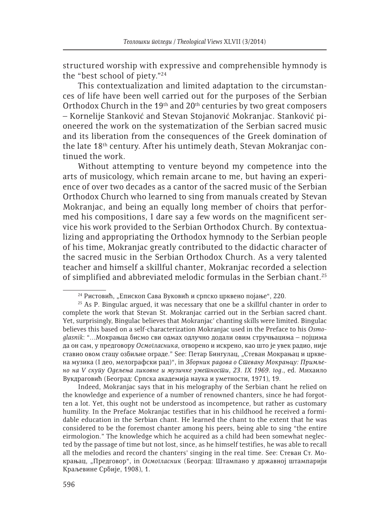structured worship with expressive and comprehensible hymnody is the "best school of piety."24

This contextualization and limited adaptation to the circumstances of life have been well carried out for the purposes of the Serbian Orthodox Church in the 19<sup>th</sup> and 20<sup>th</sup> centuries by two great composers – Kornelije Stanković and Stevan Stojanović Mokranjac. Stanković pioneered the work on the systematization of the Serbian sacred music and its liberation from the consequences of the Greek domination of the late 18th century. After his untimely death, Stevan Mokranjac continued the work.

Without attempting to venture beyond my competence into the arts of musicology, which remain arcane to me, but having an experience of over two decades as a cantor of the sacred music of the Serbian Orthodox Church who learned to sing from manuals created by Stevan Mokranjac, and being an equally long member of choirs that performed his compositions, I dare say a few words on the magnificent service his work provided to the Serbian Orthodox Church. By contextualizing and appropriating the Orthodox hymnody to the Serbian people of his time, Mokranjac greatly contributed to the didactic character of the sacred music in the Serbian Orthodox Church. As a very talented teacher and himself a skillful chanter, Mokranjac recorded a selection of simplified and abbreviated melodic formulas in the Serbian chant.25

Indeed, Mokranjac says that in his melography of the Serbian chant he relied on the knowledge and experience of a number of renowned chanters, since he had forgotten a lot. Yet, this ought not be understood as incompetence, but rather as customary humility. In the Preface Mokranjac testifies that in his childhood he received a formidable education in the Serbian chant. He learned the chant to the extent that he was considered to be the foremost chanter among his peers, being able to sing "the entire eirmologion." The knowledge which he acquired as a child had been somewhat neglected by the passage of time but not lost, since, as he himself testifies, he was able to recall all the melodies and record the chanters' singing in the real time. See: Стеван Ст. Мокрањац, "Предговор", in *Осмогласник* (Београд: Штампано у државној штампарији Краљевине Србије, 1908), 1.

<sup>&</sup>lt;sup>24</sup> Ристовић, "Епископ Сава Вуковић и српско црквено појање", 220.

 $25$  As P. Bingulac argued, it was necessary that one be a skillful chanter in order to complete the work that Stevan St. Mokranjac carried out in the Serbian sacred chant. Yet, surprisingly, Bingulac believes that Mokranjac' chanting skills were limited. Bingulac believes this based on a self-characterization Mokranjac used in the Preface to his *Osmoglasnik*: "…Мокрањца бисмо сви одмах одлучно додали овим стручњацима – појцима да он сам, у предговору *Осмогласника*, отворено и искрено, као што је увек радио, није ставио овом стацу озбиљне ограде." See: Петар Бингулац, "Стеван Мокрањац и црквена музика (I део, мелографски рад)", in *Зборник радова о Стевану Мокрањцу: Примљено на V скупу Одељења ликовне и музичке уметности, 23. IX 1969. год.*, ed. Михаило Вукдраговић (Београд: Српска академија наука и уметности, 1971), 19.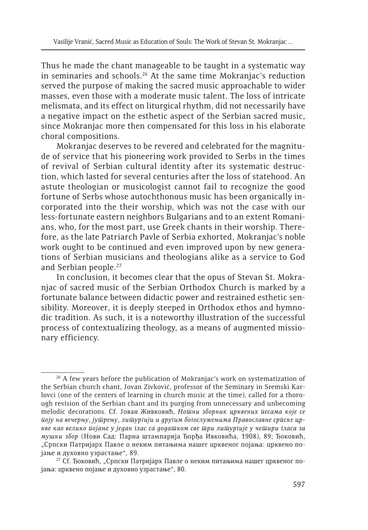Thus he made the chant manageable to be taught in a systematic way in seminaries and schools.<sup>26</sup> At the same time Mokranjac's reduction served the purpose of making the sacred music approachable to wider masses, even those with a moderate music talent. The loss of intricate melismata, and its effect on liturgical rhythm, did not necessarily have a negative impact on the esthetic aspect of the Serbian sacred music, since Mokranjac more then compensated for this loss in his elaborate choral compositions.

Mokranjac deserves to be revered and celebrated for the magnitude of service that his pioneering work provided to Serbs in the times of revival of Serbian cultural identity after its systematic destruction, which lasted for several centuries after the loss of statehood. An astute theologian or musicologist cannot fail to recognize the good fortune of Serbs whose autochthonous music has been organically incorporated into the their worship, which was not the case with our less-fortunate eastern neighbors Bulgarians and to an extent Romanians, who, for the most part, use Greek chants in their worship. Therefore, as the late Patriarch Pavle of Serbia exhorted, Mokranjac's noble work ought to be continued and even improved upon by new generations of Serbian musicians and theologians alike as a service to God and Serbian people.27

In conclusion, it becomes clear that the opus of Stevan St. Mokranjac of sacred music of the Serbian Orthodox Church is marked by a fortunate balance between didactic power and restrained esthetic sensibility. Moreover, it is deeply steeped in Orthodox ethos and hymnodic tradition. As such, it is a noteworthy illustration of the successful process of contextualizing theology, as a means of augmented missionary efficiency.

<sup>&</sup>lt;sup>26</sup> A few years before the publication of Mokranjac's work on systematization of the Serbian church chant, Jovan Zivković, professor of the Seminary in Sremski Karlovci (one of the centers of learning in church music at the time), called for a thorough revision of the Serbian chant and its purging from unnecessary and unbecoming melodic decorations. Cf. Јован Живковић, *Нотни зборник црквених песама које се поју на вечерњу, јутрењу, литургији и другим богослужењима Православне српске цркве као велико појање у један глас са додатком све три литургије у четири гласа за мушки збор* (Нови Сад: Парна штампарија Ђорђа Ивковића, 1908), 89; Ђоковић, "Српски Патријарх Павле о неким питањима нашег црквеног појања: црквено појање и духовно узрастање", 89.

<sup>&</sup>lt;sup>27</sup> Сf. Ђоковић, "Српски Патријарх Павле о неким питањима нашег црквеног појања: црквено појање и духовно узрастање", 80.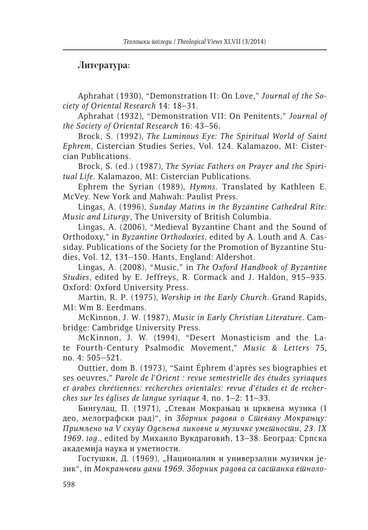## **Литература:**

Aphrahat (1930), "Demonstration II: On Love," *Journal of the Society of Oriental Research* 14: 18–31.

Aphrahat (1932), "Demonstration VII: On Penitents," *Journal of the Society of Oriental Research* 16: 43–56.

Brock, S. (1992), *The Luminous Eye: The Spiritual World of Saint Ephrem*, Cistercian Studies Series, Vol. 124. Kalamazoo, MI: Cistercian Publications.

Brock, S. (ed.) (1987), *The Syriac Fathers on Prayer and the Spiritual Life*. Kalamazoo, MI: Cistercian Publications.

Ephrem the Syrian (1989), *Hymns*. Translated by Kathleen E. McVey. New York and Mahwah: Paulist Press.

Lingas, A. (1996), *Sunday Matins in the Byzantine Cathedral Rite: Music and Liturgy*, The University of British Columbia.

Lingas, A. (2006), "Medieval Byzantine Chant and the Sound of Orthodoxy," in *Byzantine Orthodoxies*, edited by A. Louth and A. Cassiday. Publications of the Society for the Promotion of Byzantine Studies, Vol. 12, 131–150. Hants, England: Aldershot.

Lingas, A. (2008), "Music," in *The Oxford Handbook of Byzantine Studies*, edited by E. Jeffreys, R. Cormack and J. Haldon, 915–935. Oxford: Oxford University Press.

Martin, R. P. (1975), *Worship in the Early Church*. Grand Rapids, MI: Wm B. Eerdmans.

McKinnon, J. W. (1987), *Music in Early Christian Literature*. Cambridge: Cambridge University Press.

McKinnon, J. W. (1994), "Desert Monasticism and the Late Fourth-Century Psalmodic Movement," *Music & Letters* 75, no. 4: 505–521.

Outtier, dom B. (1973), "Saint Éphrem d'après ses biographies et ses oeuvres," *Parole de l'Orient : revue semestrielle des études syriaques et arabes chrétiennes: recherches orientales: revue d'études et de recherches sur les églises de langue syriaque* 4, no. 1–2: 11–33.

Бингулац, П. (1971), "Стеван Мокрањац и црквена музика (I део, мелографски рад)", in *Зборник радова о Стевану Мокрањцу: Примљено на V скупу Одељења ликовне и музичке уметности, 23. IX 1969. год.*, edited by Михаило Вукдраговић, 13–38. Београд: Српска академија наука и уметности.

Гостушки, Д. (1969), "Национални и универзални музички језик", in *Мокрањчеви дани 1969. Зборник радова са састанка етноло*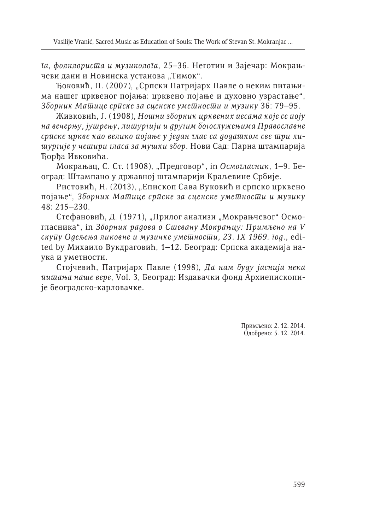*га, фолклориста и музиколога*, 25–36. Неготин и Зајечар: Мокрањчеви дани и Новинска установа "Тимок".

Ђоковић, П. (2007), "Српски Патријарх Павле о неким питањима нашег црквеног појања: црквено појање и духовно узрастање", *Зборник Матице српске за сценске уметности и музику* 36: 79–95.

Живковић, Ј. (1908), *Нотни зборник црквених песама које се поју на вечерњу, јутрењу, литургији и другим богослужењима Православне српске цркве као велико појање у један глас са додатком све три литургије у четири гласа за мушки збор*. Нови Сад: Парна штампарија Ђорђа Ивковића.

Мокрањац, С. Ст. (1908), "Предговор", in *Осмогласник*, 1–9. Београд: Штампано у државној штампарији Краљевине Србије.

Ристовић, Н. (2013), "Епископ Сава Вуковић и српско црквено појање", *Зборник Матице српске за сценске уметности и музику*  48: 215–230.

Стефановић, Д. (1971), "Прилог анализи "Мокрањчевог" Осмогласника", in *Зборник радова о Стевану Мокрањцу: Примљено на V скупу Одељења ликовне и музичке уметности, 23. IX 1969. год.*, edited by Михаило Вукдраговић, 1–12. Београд: Српска академија наука и уметности.

Стојчевић, Патријарх Павле (1998), *Да нам буду јаснија нека питања наше вере*, Vol. 3, Београд: Издавачки фонд Архиепископије београдско-карловачке.

> Примљено: 2. 12. 2014. Одобрено: 5. 12. 2014.